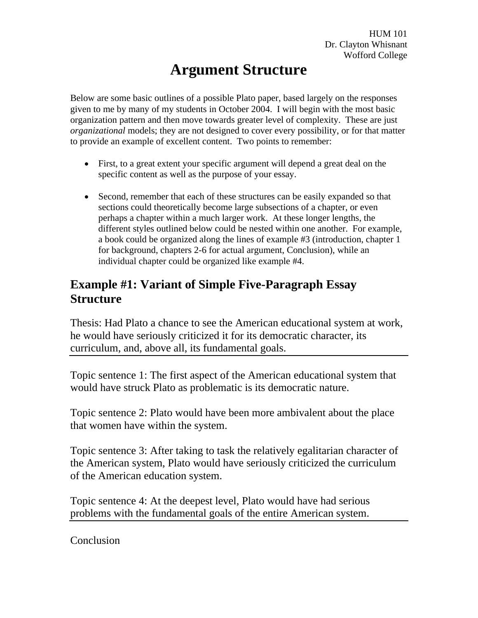# **Argument Structure**

Below are some basic outlines of a possible Plato paper, based largely on the responses given to me by many of my students in October 2004. I will begin with the most basic organization pattern and then move towards greater level of complexity. These are just *organizational* models; they are not designed to cover every possibility, or for that matter to provide an example of excellent content. Two points to remember:

- First, to a great extent your specific argument will depend a great deal on the specific content as well as the purpose of your essay.
- Second, remember that each of these structures can be easily expanded so that sections could theoretically become large subsections of a chapter, or even perhaps a chapter within a much larger work. At these longer lengths, the different styles outlined below could be nested within one another. For example, a book could be organized along the lines of example #3 (introduction, chapter 1 for background, chapters 2-6 for actual argument, Conclusion), while an individual chapter could be organized like example #4.

## **Example #1: Variant of Simple Five-Paragraph Essay Structure** and the structure of the structure of the structure of the structure of the structure of the structure of the structure of the structure of the structure of the structure of the structure of the structure of th

Thesis: Had Plato a chance to see the American educational system at work, he would have seriously criticized it for its democratic character, its curriculum, and, above all, its fundamental goals.

Topic sentence 1: The first aspect of the American educational system that would have struck Plato as problematic is its democratic nature.

Topic sentence 2: Plato would have been more ambivalent about the place that women have within the system.

Topic sentence 3: After taking to task the relatively egalitarian character of the American system, Plato would have seriously criticized the curriculum of the American education system.

Topic sentence 4: At the deepest level, Plato would have had serious problems with the fundamental goals of the entire American system.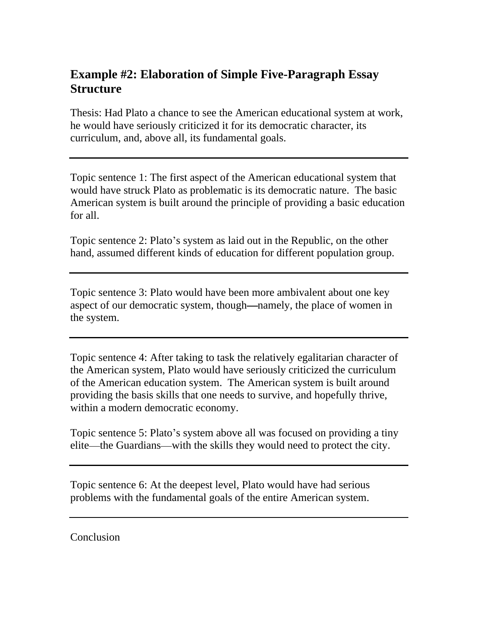## **Example #2: Elaboration of Simple Five-Paragraph Essay Structure** and the structure of the structure of the structure of the structure of the structure of the structure of the structure of the structure of the structure of the structure of the structure of the structure of th

Thesis: Had Plato a chance to see the American educational system at work, he would have seriously criticized it for its democratic character, its curriculum, and, above all, its fundamental goals.

Topic sentence 1: The first aspect of the American educational system that would have struck Plato as problematic is its democratic nature. The basic American system is built around the principle of providing a basic education for all.

Topic sentence 2: Plato's system as laid out in the Republic, on the other hand, assumed different kinds of education for different population group.

Topic sentence 3: Plato would have been more ambivalent about one key aspect of our democratic system, though—namely, the place of women in the system.

Topic sentence 4: After taking to task the relatively egalitarian character of the American system, Plato would have seriously criticized the curriculum of the American education system. The American system is built around providing the basis skills that one needs to survive, and hopefully thrive, within a modern democratic economy.

Topic sentence 5: Plato's system above all was focused on providing a tiny elite—the Guardians—with the skills they would need to protect the city.

Topic sentence 6: At the deepest level, Plato would have had serious problems with the fundamental goals of the entire American system.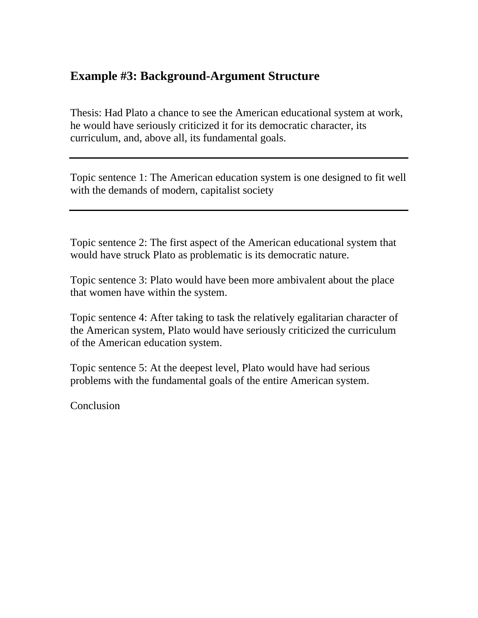#### **Example #3: Background-Argument Structure**

Thesis: Had Plato a chance to see the American educational system at work, he would have seriously criticized it for its democratic character, its curriculum, and, above all, its fundamental goals.

Topic sentence 1: The American education system is one designed to fit well with the demands of modern, capitalist society

Topic sentence 2: The first aspect of the American educational system that would have struck Plato as problematic is its democratic nature.

Topic sentence 3: Plato would have been more ambivalent about the place that women have within the system.

Topic sentence 4: After taking to task the relatively egalitarian character of the American system, Plato would have seriously criticized the curriculum of the American education system.

Topic sentence 5: At the deepest level, Plato would have had serious problems with the fundamental goals of the entire American system.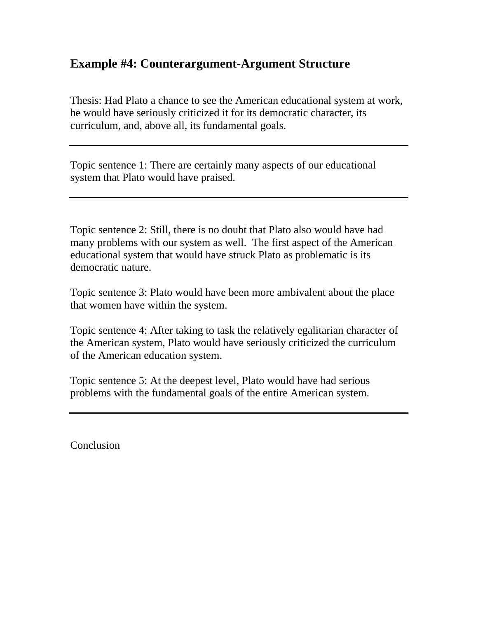#### **Example #4: Counterargument-Argument Structure**

Thesis: Had Plato a chance to see the American educational system at work, he would have seriously criticized it for its democratic character, its curriculum, and, above all, its fundamental goals.

Topic sentence 1: There are certainly many aspects of our educational system that Plato would have praised.

Topic sentence 2: Still, there is no doubt that Plato also would have had many problems with our system as well. The first aspect of the American educational system that would have struck Plato as problematic is its democratic nature.

Topic sentence 3: Plato would have been more ambivalent about the place that women have within the system.

Topic sentence 4: After taking to task the relatively egalitarian character of the American system, Plato would have seriously criticized the curriculum of the American education system.

Topic sentence 5: At the deepest level, Plato would have had serious problems with the fundamental goals of the entire American system.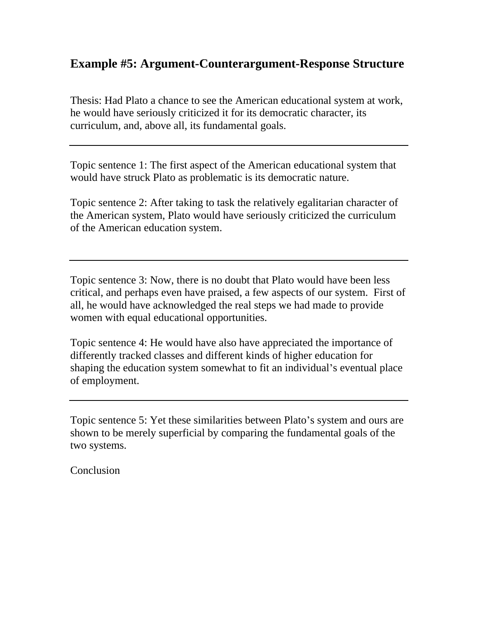#### **Example #5: Argument-Counterargument-Response Structure**

Thesis: Had Plato a chance to see the American educational system at work, he would have seriously criticized it for its democratic character, its curriculum, and, above all, its fundamental goals.

Topic sentence 1: The first aspect of the American educational system that would have struck Plato as problematic is its democratic nature.

Topic sentence 2: After taking to task the relatively egalitarian character of the American system, Plato would have seriously criticized the curriculum of the American education system.

Topic sentence 3: Now, there is no doubt that Plato would have been less critical, and perhaps even have praised, a few aspects of our system. First of all, he would have acknowledged the real steps we had made to provide women with equal educational opportunities.

Topic sentence 4: He would have also have appreciated the importance of differently tracked classes and different kinds of higher education for shaping the education system somewhat to fit an individual's eventual place of employment.

Topic sentence 5: Yet these similarities between Plato's system and ours are shown to be merely superficial by comparing the fundamental goals of the two systems.